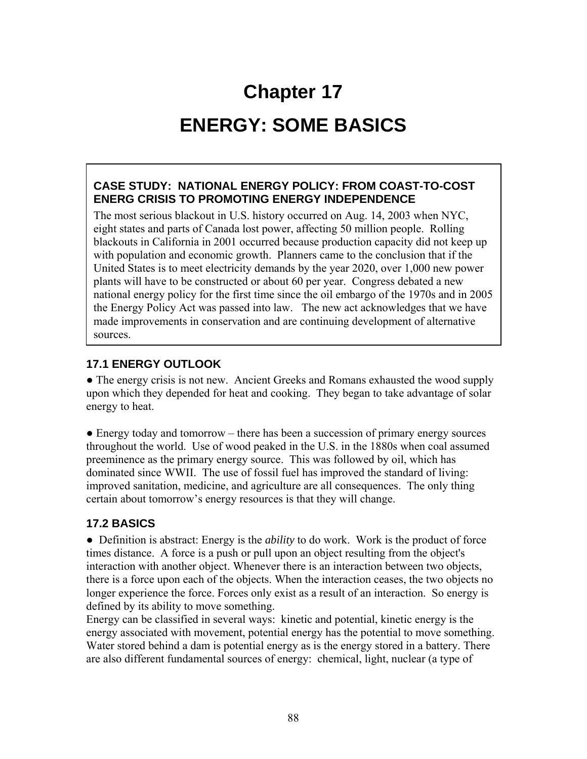# **Chapter 17**

## **ENERGY: SOME BASICS**

#### **CASE STUDY: NATIONAL ENERGY POLICY: FROM COAST-TO-COST ENERG CRISIS TO PROMOTING ENERGY INDEPENDENCE**

The most serious blackout in U.S. history occurred on Aug. 14, 2003 when NYC, eight states and parts of Canada lost power, affecting 50 million people. Rolling blackouts in California in 2001 occurred because production capacity did not keep up with population and economic growth. Planners came to the conclusion that if the United States is to meet electricity demands by the year 2020, over 1,000 new power plants will have to be constructed or about 60 per year. Congress debated a new national energy policy for the first time since the oil embargo of the 1970s and in 2005 the Energy Policy Act was passed into law. The new act acknowledges that we have made improvements in conservation and are continuing development of alternative sources.

#### **17.1 ENERGY OUTLOOK**

• The energy crisis is not new. Ancient Greeks and Romans exhausted the wood supply upon which they depended for heat and cooking. They began to take advantage of solar energy to heat.

• Energy today and tomorrow – there has been a succession of primary energy sources throughout the world. Use of wood peaked in the U.S. in the 1880s when coal assumed preeminence as the primary energy source. This was followed by oil, which has dominated since WWII. The use of fossil fuel has improved the standard of living: improved sanitation, medicine, and agriculture are all consequences. The only thing certain about tomorrow's energy resources is that they will change.

## **17.2 BASICS**

• Definition is abstract: Energy is the *ability* to do work. Work is the product of force times distance. A force is a push or pull upon an object resulting from the object's interaction with another object. Whenever there is an interaction between two objects, there is a force upon each of the objects. When the interaction ceases, the two objects no longer experience the force. Forces only exist as a result of an interaction. So energy is defined by its ability to move something.

Energy can be classified in several ways: kinetic and potential, kinetic energy is the energy associated with movement, potential energy has the potential to move something. Water stored behind a dam is potential energy as is the energy stored in a battery. There are also different fundamental sources of energy: chemical, light, nuclear (a type of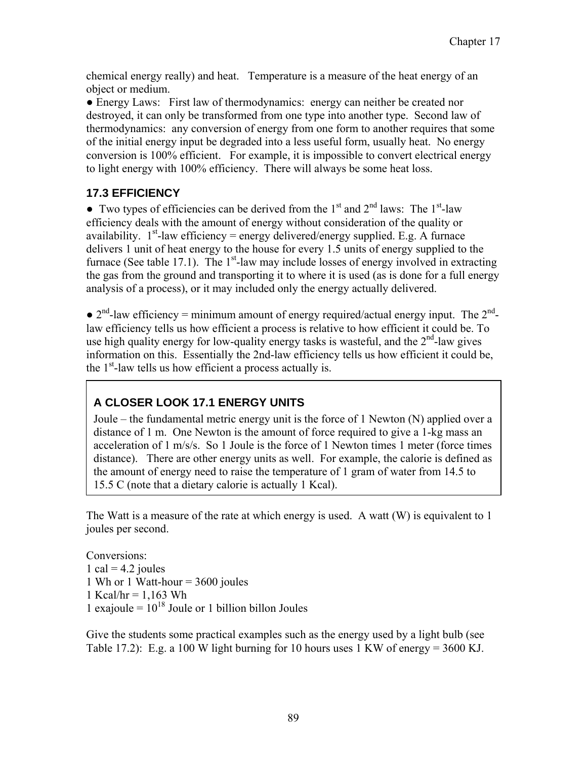chemical energy really) and heat. Temperature is a measure of the heat energy of an object or medium.

• Energy Laws: First law of thermodynamics: energy can neither be created nor destroyed, it can only be transformed from one type into another type. Second law of thermodynamics: any conversion of energy from one form to another requires that some of the initial energy input be degraded into a less useful form, usually heat. No energy conversion is 100% efficient. For example, it is impossible to convert electrical energy to light energy with 100% efficiency. There will always be some heat loss.

#### **17.3 EFFICIENCY**

• Two types of efficiencies can be derived from the  $1<sup>st</sup>$  and  $2<sup>nd</sup>$  laws: The  $1<sup>st</sup>$ -law efficiency deals with the amount of energy without consideration of the quality or availability.  $1<sup>st</sup>$ -law efficiency = energy delivered/energy supplied. E.g. A furnace delivers 1 unit of heat energy to the house for every 1.5 units of energy supplied to the furnace (See table 17.1). The  $1<sup>st</sup>$ -law may include losses of energy involved in extracting the gas from the ground and transporting it to where it is used (as is done for a full energy analysis of a process), or it may included only the energy actually delivered.

 $\bullet$  2<sup>nd</sup>-law efficiency = minimum amount of energy required/actual energy input. The 2<sup>nd</sup>law efficiency tells us how efficient a process is relative to how efficient it could be. To use high quality energy for low-quality energy tasks is wasteful, and the  $2<sup>nd</sup>$ -law gives information on this. Essentially the 2nd-law efficiency tells us how efficient it could be, the  $1<sup>st</sup>$ -law tells us how efficient a process actually is.

## **A CLOSER LOOK 17.1 ENERGY UNITS**

Joule – the fundamental metric energy unit is the force of 1 Newton (N) applied over a distance of 1 m. One Newton is the amount of force required to give a 1-kg mass an acceleration of 1 m/s/s. So 1 Joule is the force of 1 Newton times 1 meter (force times distance). There are other energy units as well. For example, the calorie is defined as the amount of energy need to raise the temperature of 1 gram of water from 14.5 to 15.5 C (note that a dietary calorie is actually 1 Kcal).

The Watt is a measure of the rate at which energy is used. A watt (W) is equivalent to 1 joules per second.

Conversions: 1 cal =  $4.2$  joules 1 Wh or 1 Watt-hour  $=$  3600 joules 1 Kcal/hr =  $1,163$  Wh 1 exajoule =  $10^{18}$  Joule or 1 billion billon Joules

Give the students some practical examples such as the energy used by a light bulb (see Table 17.2): E.g. a 100 W light burning for 10 hours uses 1 KW of energy =  $3600$  KJ.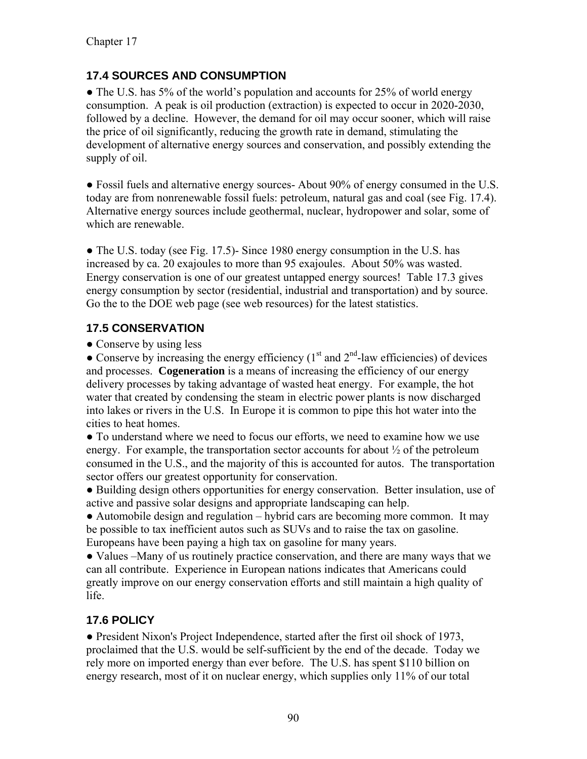## **17.4 SOURCES AND CONSUMPTION**

• The U.S. has 5% of the world's population and accounts for 25% of world energy consumption. A peak is oil production (extraction) is expected to occur in 2020-2030, followed by a decline. However, the demand for oil may occur sooner, which will raise the price of oil significantly, reducing the growth rate in demand, stimulating the development of alternative energy sources and conservation, and possibly extending the supply of oil.

● Fossil fuels and alternative energy sources- About 90% of energy consumed in the U.S. today are from nonrenewable fossil fuels: petroleum, natural gas and coal (see Fig. 17.4). Alternative energy sources include geothermal, nuclear, hydropower and solar, some of which are renewable.

 $\bullet$  The U.S. today (see Fig. 17.5)- Since 1980 energy consumption in the U.S. has increased by ca. 20 exajoules to more than 95 exajoules. About 50% was wasted. Energy conservation is one of our greatest untapped energy sources! Table 17.3 gives energy consumption by sector (residential, industrial and transportation) and by source. Go the to the DOE web page (see web resources) for the latest statistics.

## **17.5 CONSERVATION**

• Conserve by using less

• Conserve by increasing the energy efficiency  $(1<sup>st</sup>$  and  $2<sup>nd</sup>$ -law efficiencies) of devices and processes. **Cogeneration** is a means of increasing the efficiency of our energy delivery processes by taking advantage of wasted heat energy. For example, the hot water that created by condensing the steam in electric power plants is now discharged into lakes or rivers in the U.S. In Europe it is common to pipe this hot water into the cities to heat homes.

● To understand where we need to focus our efforts, we need to examine how we use energy. For example, the transportation sector accounts for about  $\frac{1}{2}$  of the petroleum consumed in the U.S., and the majority of this is accounted for autos. The transportation sector offers our greatest opportunity for conservation.

● Building design others opportunities for energy conservation. Better insulation, use of active and passive solar designs and appropriate landscaping can help.

• Automobile design and regulation – hybrid cars are becoming more common. It may be possible to tax inefficient autos such as SUVs and to raise the tax on gasoline. Europeans have been paying a high tax on gasoline for many years.

● Values –Many of us routinely practice conservation, and there are many ways that we can all contribute. Experience in European nations indicates that Americans could greatly improve on our energy conservation efforts and still maintain a high quality of life.

## **17.6 POLICY**

• President Nixon's Project Independence, started after the first oil shock of 1973, proclaimed that the U.S. would be self-sufficient by the end of the decade. Today we rely more on imported energy than ever before. The U.S. has spent \$110 billion on energy research, most of it on nuclear energy, which supplies only 11% of our total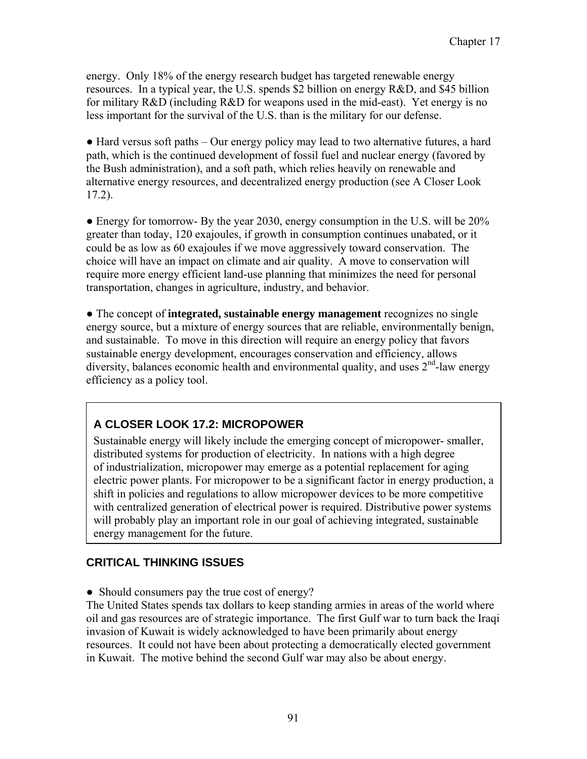energy. Only 18% of the energy research budget has targeted renewable energy resources. In a typical year, the U.S. spends \$2 billion on energy R&D, and \$45 billion for military R&D (including R&D for weapons used in the mid-east). Yet energy is no less important for the survival of the U.S. than is the military for our defense.

● Hard versus soft paths – Our energy policy may lead to two alternative futures, a hard path, which is the continued development of fossil fuel and nuclear energy (favored by the Bush administration), and a soft path, which relies heavily on renewable and alternative energy resources, and decentralized energy production (see A Closer Look 17.2).

• Energy for tomorrow- By the year 2030, energy consumption in the U.S. will be 20% greater than today, 120 exajoules, if growth in consumption continues unabated, or it could be as low as 60 exajoules if we move aggressively toward conservation. The choice will have an impact on climate and air quality. A move to conservation will require more energy efficient land-use planning that minimizes the need for personal transportation, changes in agriculture, industry, and behavior.

● The concept of **integrated, sustainable energy management** recognizes no single energy source, but a mixture of energy sources that are reliable, environmentally benign, and sustainable. To move in this direction will require an energy policy that favors sustainable energy development, encourages conservation and efficiency, allows diversity, balances economic health and environmental quality, and uses  $2<sup>nd</sup>$ -law energy efficiency as a policy tool.

## **A CLOSER LOOK 17.2: MICROPOWER**

Sustainable energy will likely include the emerging concept of micropower- smaller, distributed systems for production of electricity. In nations with a high degree of industrialization, micropower may emerge as a potential replacement for aging electric power plants. For micropower to be a significant factor in energy production, a shift in policies and regulations to allow micropower devices to be more competitive with centralized generation of electrical power is required. Distributive power systems will probably play an important role in our goal of achieving integrated, sustainable energy management for the future.

## **CRITICAL THINKING ISSUES**

• Should consumers pay the true cost of energy?

The United States spends tax dollars to keep standing armies in areas of the world where oil and gas resources are of strategic importance. The first Gulf war to turn back the Iraqi invasion of Kuwait is widely acknowledged to have been primarily about energy resources. It could not have been about protecting a democratically elected government in Kuwait. The motive behind the second Gulf war may also be about energy.